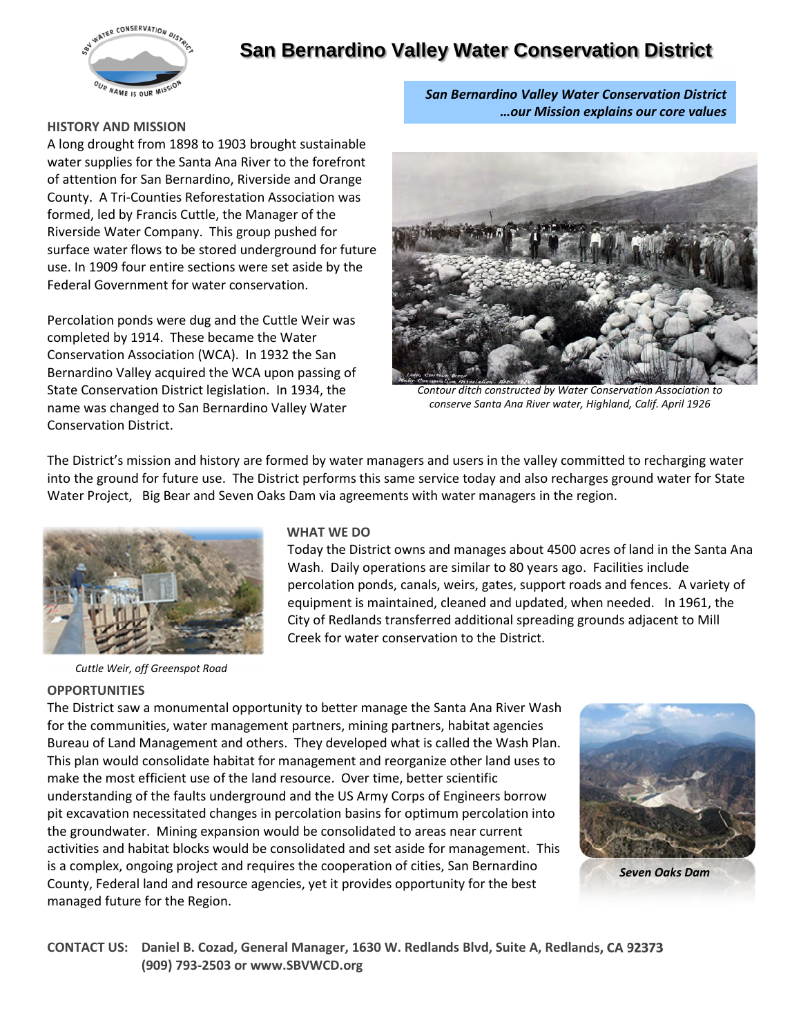

# **San Bernardino Valley Water Conservation District**

#### **HISTORY AND MISSION**

A long drought from 1898 to 1903 brought sustainable water supplies for the Santa Ana River to the forefront of attention for San Bernardino, Riverside and Orange County. A Tri-Counties Reforestation Association was formed, led by Francis Cuttle, the Manager of the Riverside Water Company. This group pushed for surface water flows to be stored underground for future use. In 1909 four entire sections were set aside by the Federal Government for water conservation.

Percolation ponds were dug and the Cuttle Weir was completed by 1914. These became the Water Conservation Association (WCA). In 1932 the San Bernardino Valley acquired the WCA upon passing of State Conservation District legislation. In 1934, the name was changed to San Bernardino Valley Water Conservation District.

*San Bernardino Valley Water Conservation District …our Mission explains our core values*



*Contour ditch constructed by Water Conservation Association to conserve Santa Ana River water, Highland, Calif. April 1926*

The District's mission and history are formed by water managers and users in the valley committed to recharging water into the ground for future use. The District performs this same service today and also recharges ground water for State Water Project, Big Bear and Seven Oaks Dam via agreements with water managers in the region.



*Cuttle Weir, off Greenspot Road*

#### **OPPORTUNITIES**

### **WHAT WE DO**

Today the District owns and manages about 4500 acres of land in the Santa Ana Wash. Daily operations are similar to 80 years ago. Facilities include percolation ponds, canals, weirs, gates, support roads and fences. A variety of equipment is maintained, cleaned and updated, when needed. In 1961, the City of Redlands transferred additional spreading grounds adjacent to Mill Creek for water conservation to the District.

The District saw a monumental opportunity to better manage the Santa Ana River Wash for the communities, water management partners, mining partners, habitat agencies Bureau of Land Management and others. They developed what is called the Wash Plan. This plan would consolidate habitat for management and reorganize other land uses to make the most efficient use of the land resource. Over time, better scientific understanding of the faults underground and the US Army Corps of Engineers borrow pit excavation necessitated changes in percolation basins for optimum percolation into the groundwater. Mining expansion would be consolidated to areas near current activities and habitat blocks would be consolidated and set aside for management. This is a complex, ongoing project and requires the cooperation of cities, San Bernardino County, Federal land and resource agencies, yet it provides opportunity for the best managed future for the Region.



*Seven Oaks Dam*

**CONTACT US: Daniel B. Cozad, General Manager, 1630 W. Redlands Blvd, Suite A, Redlands, CA 92373 (909) 793-2503 or www.SBVWCD.org**